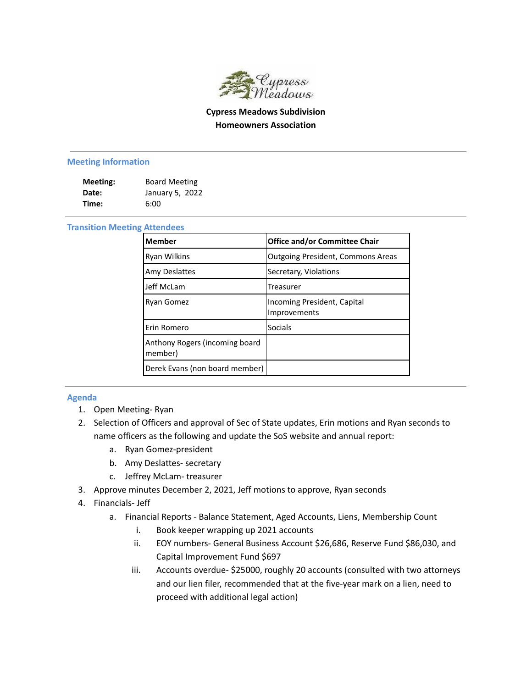

## **Cypress Meadows Subdivision Homeowners Association**

## **Meeting Information**

| Meeting: | <b>Board Meeting</b> |
|----------|----------------------|
| Date:    | January 5, 2022      |
| Time:    | 6:00                 |

## **Transition Meeting Attendees**

| <b>Member</b>                             | <b>Office and/or Committee Chair</b>        |
|-------------------------------------------|---------------------------------------------|
| <b>Ryan Wilkins</b>                       | <b>Outgoing President, Commons Areas</b>    |
| <b>Amy Deslattes</b>                      | Secretary, Violations                       |
| Jeff McLam                                | Treasurer                                   |
| <b>Ryan Gomez</b>                         | Incoming President, Capital<br>Improvements |
| Erin Romero                               | <b>Socials</b>                              |
| Anthony Rogers (incoming board<br>member) |                                             |
| Derek Evans (non board member)            |                                             |

## **Agenda**

- 1. Open Meeting- Ryan
- 2. Selection of Officers and approval of Sec of State updates, Erin motions and Ryan seconds to name officers as the following and update the SoS website and annual report:
	- a. Ryan Gomez-president
	- b. Amy Deslattes- secretary
	- c. Jeffrey McLam- treasurer
- 3. Approve minutes December 2, 2021, Jeff motions to approve, Ryan seconds
- 4. Financials- Jeff
	- a. Financial Reports Balance Statement, Aged Accounts, Liens, Membership Count
		- i. Book keeper wrapping up 2021 accounts
		- ii. EOY numbers- General Business Account \$26,686, Reserve Fund \$86,030, and Capital Improvement Fund \$697
		- iii. Accounts overdue- \$25000, roughly 20 accounts (consulted with two attorneys and our lien filer, recommended that at the five-year mark on a lien, need to proceed with additional legal action)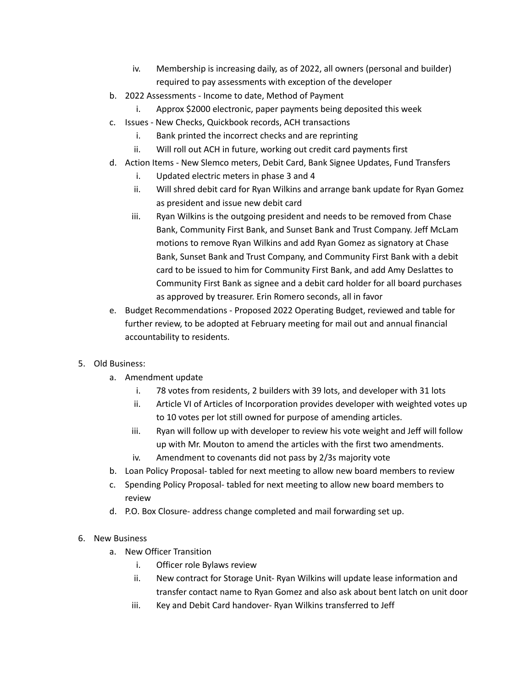- iv. Membership is increasing daily, as of 2022, all owners (personal and builder) required to pay assessments with exception of the developer
- b. 2022 Assessments Income to date, Method of Payment
	- i. Approx \$2000 electronic, paper payments being deposited this week
- c. Issues New Checks, Quickbook records, ACH transactions
	- i. Bank printed the incorrect checks and are reprinting
	- ii. Will roll out ACH in future, working out credit card payments first
- d. Action Items New Slemco meters, Debit Card, Bank Signee Updates, Fund Transfers
	- i. Updated electric meters in phase 3 and 4
	- ii. Will shred debit card for Ryan Wilkins and arrange bank update for Ryan Gomez as president and issue new debit card
	- iii. Ryan Wilkins is the outgoing president and needs to be removed from Chase Bank, Community First Bank, and Sunset Bank and Trust Company. Jeff McLam motions to remove Ryan Wilkins and add Ryan Gomez as signatory at Chase Bank, Sunset Bank and Trust Company, and Community First Bank with a debit card to be issued to him for Community First Bank, and add Amy Deslattes to Community First Bank as signee and a debit card holder for all board purchases as approved by treasurer. Erin Romero seconds, all in favor
- e. Budget Recommendations Proposed 2022 Operating Budget, reviewed and table for further review, to be adopted at February meeting for mail out and annual financial accountability to residents.
- 5. Old Business:
	- a. Amendment update
		- i. 78 votes from residents, 2 builders with 39 lots, and developer with 31 lots
		- ii. Article VI of Articles of Incorporation provides developer with weighted votes up to 10 votes per lot still owned for purpose of amending articles.
		- iii. Ryan will follow up with developer to review his vote weight and Jeff will follow up with Mr. Mouton to amend the articles with the first two amendments.
		- iv. Amendment to covenants did not pass by 2/3s majority vote
	- b. Loan Policy Proposal- tabled for next meeting to allow new board members to review
	- c. Spending Policy Proposal- tabled for next meeting to allow new board members to review
	- d. P.O. Box Closure- address change completed and mail forwarding set up.
- 6. New Business
	- a. New Officer Transition
		- i. Officer role Bylaws review
		- ii. New contract for Storage Unit- Ryan Wilkins will update lease information and transfer contact name to Ryan Gomez and also ask about bent latch on unit door
		- iii. Key and Debit Card handover- Ryan Wilkins transferred to Jeff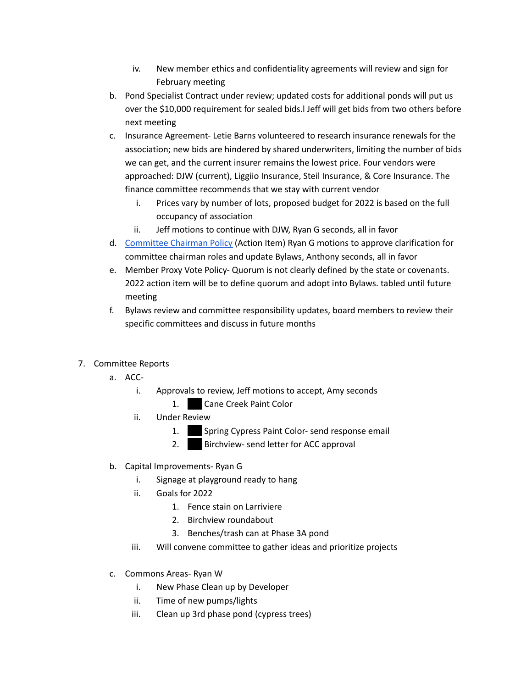- iv. New member ethics and confidentiality agreements will review and sign for February meeting
- b. Pond Specialist Contract under review; updated costs for additional ponds will put us over the \$10,000 requirement for sealed bids.l Jeff will get bids from two others before next meeting
- c. Insurance Agreement- Letie Barns volunteered to research insurance renewals for the association; new bids are hindered by shared underwriters, limiting the number of bids we can get, and the current insurer remains the lowest price. Four vendors were approached: DJW (current), Liggiio Insurance, Steil Insurance, & Core Insurance. The finance committee recommends that we stay with current vendor
	- i. Prices vary by number of lots, proposed budget for 2022 is based on the full occupancy of association
	- ii. Jeff motions to continue with DJW, Ryan G seconds, all in favor
- d. [Committee](https://docs.google.com/document/d/1BGGYxhCAjhJBND1ZNSsCeWUSPjEXgIwjZEVbaz4qcVY/edit) Chairman Policy (Action Item) Ryan G motions to approve clarification for committee chairman roles and update Bylaws, Anthony seconds, all in favor
- e. Member Proxy Vote Policy- Quorum is not clearly defined by the state or covenants. 2022 action item will be to define quorum and adopt into Bylaws. tabled until future meeting
- f. Bylaws review and committee responsibility updates, board members to review their specific committees and discuss in future months
- 7. Committee Reports
	- a. ACC
		- i. Approvals to review, Jeff motions to accept, Amy seconds
			- 1. **Cane Creek Paint Color**
		- ii. Under Review
			- 1. Spring Cypress Paint Color- send response email
			- 2. Birchview- send letter for ACC approval
	- b. Capital Improvements- Ryan G
		- i. Signage at playground ready to hang
		- ii. Goals for 2022
			- 1. Fence stain on Larriviere
			- 2. Birchview roundabout
			- 3. Benches/trash can at Phase 3A pond
		- iii. Will convene committee to gather ideas and prioritize projects
	- c. Commons Areas- Ryan W
		- i. New Phase Clean up by Developer
		- ii. Time of new pumps/lights
		- iii. Clean up 3rd phase pond (cypress trees)